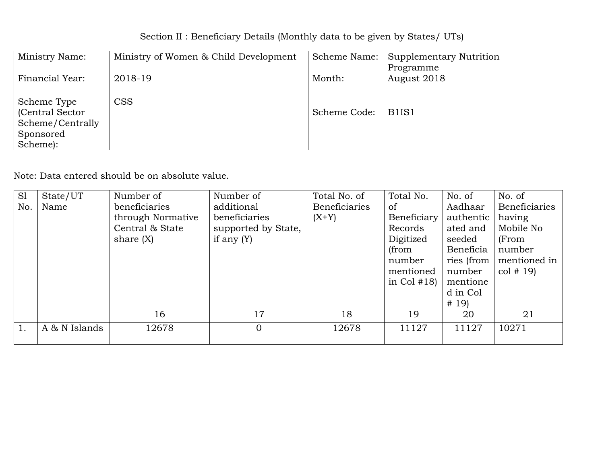# Section II : Beneficiary Details (Monthly data to be given by States/ UTs)

| Ministry Name:   | Ministry of Women & Child Development | Scheme Name: | Supplementary Nutrition        |
|------------------|---------------------------------------|--------------|--------------------------------|
|                  |                                       |              | Programme                      |
| Financial Year:  | 2018-19                               | Month:       | August 2018                    |
|                  |                                       |              |                                |
| Scheme Type      | <b>CSS</b>                            |              |                                |
| (Central Sector) |                                       | Scheme Code: | B <sub>1</sub> IS <sub>1</sub> |
| Scheme/Centrally |                                       |              |                                |
| Sponsored        |                                       |              |                                |
| Scheme):         |                                       |              |                                |

| S1  | State/UT      | Number of         | Number of           | Total No. of         | Total No.     | No. of     | No. of               |
|-----|---------------|-------------------|---------------------|----------------------|---------------|------------|----------------------|
| No. | Name          | beneficiaries     | additional          | <b>Beneficiaries</b> | <sub>of</sub> | Aadhaar    | <b>Beneficiaries</b> |
|     |               | through Normative | beneficiaries       | $(X+Y)$              | Beneficiary   | authentic  | having               |
|     |               | Central & State   | supported by State, |                      | Records       | ated and   | Mobile No            |
|     |               | share $(X)$       | if any $(Y)$        |                      | Digitized     | seeded     | (From                |
|     |               |                   |                     |                      | (from         | Beneficia  | number               |
|     |               |                   |                     |                      | number        | ries (from | mentioned in         |
|     |               |                   |                     |                      | mentioned     | number     | $\cot \# (19)$       |
|     |               |                   |                     |                      | in Col $#18$  | mentione   |                      |
|     |               |                   |                     |                      |               | d in Col   |                      |
|     |               |                   |                     |                      |               | # 19)      |                      |
|     |               | 16                | 17                  | 18                   | 19            | 20         | 21                   |
|     | A & N Islands | 12678             | $\overline{0}$      | 12678                | 11127         | 11127      | 10271                |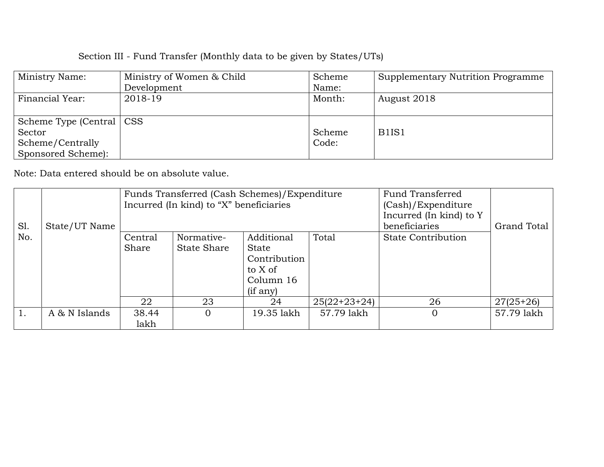| Ministry Name:             | Ministry of Women & Child | Scheme | Supplementary Nutrition Programme |
|----------------------------|---------------------------|--------|-----------------------------------|
|                            | Development               | Name:  |                                   |
| Financial Year:            | 2018-19                   | Month: | August 2018                       |
|                            |                           |        |                                   |
| Scheme Type (Central   CSS |                           |        |                                   |
| Sector                     |                           | Scheme | B <sub>1</sub> IS <sub>1</sub>    |
| Scheme/Centrally           |                           | Code:  |                                   |
| Sponsored Scheme):         |                           |        |                                   |

|     |               | Funds Transferred (Cash Schemes)/Expenditure |                                         |              |                | <b>Fund Transferred</b>   |             |
|-----|---------------|----------------------------------------------|-----------------------------------------|--------------|----------------|---------------------------|-------------|
|     |               |                                              | Incurred (In kind) to "X" beneficiaries |              |                | (Cash)/Expenditure        |             |
|     |               |                                              |                                         |              |                | Incurred (In kind) to Y   |             |
| Sl. | State/UT Name |                                              |                                         |              |                | beneficiaries             | Grand Total |
| No. |               | Central                                      | Normative-                              | Additional   | Total          | <b>State Contribution</b> |             |
|     |               | Share                                        | <b>State Share</b>                      | <b>State</b> |                |                           |             |
|     |               |                                              |                                         | Contribution |                |                           |             |
|     |               |                                              |                                         | to X of      |                |                           |             |
|     |               |                                              |                                         | Column 16    |                |                           |             |
|     |               |                                              |                                         | $(i$ f any)  |                |                           |             |
|     |               | 22                                           | 23                                      | 24           | $25(22+23+24)$ | 26                        | $27(25+26)$ |
|     | A & N Islands | 38.44                                        |                                         | 19.35 lakh   | 57.79 lakh     | $\Omega$                  | 57.79 lakh  |
|     |               | lakh                                         |                                         |              |                |                           |             |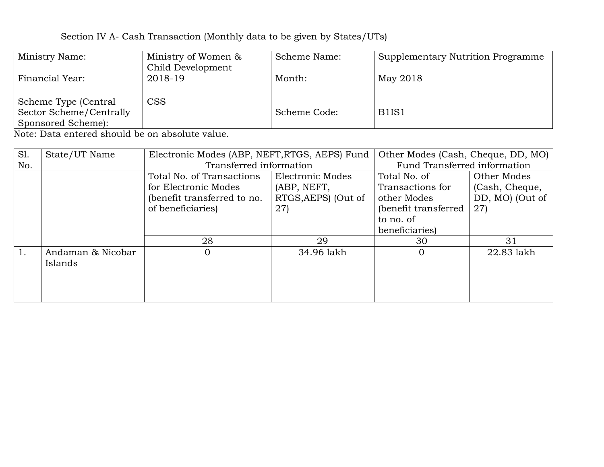| Ministry Name:          | Ministry of Women & | Scheme Name: | Supplementary Nutrition Programme |
|-------------------------|---------------------|--------------|-----------------------------------|
|                         | Child Development   |              |                                   |
| Financial Year:         | 2018-19             | Month:       | May 2018                          |
|                         |                     |              |                                   |
| Scheme Type (Central    | <b>CSS</b>          |              |                                   |
| Sector Scheme/Centrally |                     | Scheme Code: | B <sub>1</sub> IS <sub>1</sub>    |
| Sponsored Scheme):      |                     |              |                                   |

| SI. | State/UT Name     | Electronic Modes (ABP, NEFT, RTGS, AEPS) Fund |                     | Other Modes (Cash, Cheque, DD, MO) |                 |  |
|-----|-------------------|-----------------------------------------------|---------------------|------------------------------------|-----------------|--|
| No. |                   | Transferred information                       |                     | Fund Transferred information       |                 |  |
|     |                   | Total No. of Transactions                     | Electronic Modes    | Total No. of                       | Other Modes     |  |
|     |                   | for Electronic Modes                          | (ABP, NEFT,         | Transactions for                   | (Cash, Cheque,  |  |
|     |                   | (benefit transferred to no.                   | RTGS, AEPS) (Out of | other Modes                        | DD, MO) (Out of |  |
|     |                   | of beneficiaries)                             | 27)                 | (benefit transferred)              | 27)             |  |
|     |                   |                                               |                     | to no. of                          |                 |  |
|     |                   |                                               |                     | beneficiaries)                     |                 |  |
|     |                   | 28                                            | 29                  | 30                                 | 31              |  |
| 1.  | Andaman & Nicobar | 0                                             | 34.96 lakh          | $\Omega$                           | 22.83 lakh      |  |
|     | Islands           |                                               |                     |                                    |                 |  |
|     |                   |                                               |                     |                                    |                 |  |
|     |                   |                                               |                     |                                    |                 |  |
|     |                   |                                               |                     |                                    |                 |  |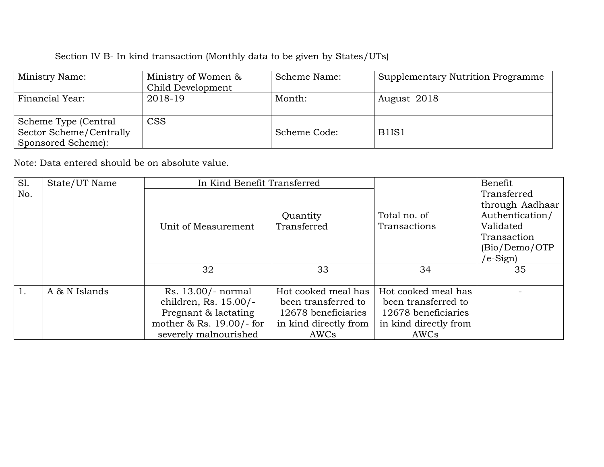| Ministry Name:          | Ministry of Women & | Scheme Name: | <b>Supplementary Nutrition Programme</b> |
|-------------------------|---------------------|--------------|------------------------------------------|
|                         | Child Development   |              |                                          |
| Financial Year:         | 2018-19             | Month:       | August 2018                              |
|                         |                     |              |                                          |
| Scheme Type (Central    | <b>CSS</b>          |              |                                          |
| Sector Scheme/Centrally |                     | Scheme Code: | B <sub>1</sub> IS <sub>1</sub>           |
| Sponsored Scheme):      |                     |              |                                          |

| Sl. | State/UT Name |                            | In Kind Benefit Transferred |                       | Benefit         |
|-----|---------------|----------------------------|-----------------------------|-----------------------|-----------------|
| No. |               |                            |                             |                       | Transferred     |
|     |               |                            |                             |                       | through Aadhaar |
|     |               |                            | Quantity                    | Total no. of          | Authentication/ |
|     |               | Unit of Measurement        | Transferred                 | Transactions          | Validated       |
|     |               |                            |                             |                       | Transaction     |
|     |               |                            |                             |                       | (Bio/Demo/OTP)  |
|     |               |                            |                             |                       | /e-Sign)        |
|     |               | 32                         | 33                          | 34                    | 35              |
|     |               |                            |                             |                       |                 |
|     | A & N Islands | Rs. 13.00/- normal         | Hot cooked meal has         | Hot cooked meal has   |                 |
|     |               | children, Rs. 15.00/-      | been transferred to         | been transferred to   |                 |
|     |               | Pregnant & lactating       | 12678 beneficiaries         | 12678 beneficiaries   |                 |
|     |               | mother $&$ Rs. 19.00/- for | in kind directly from       | in kind directly from |                 |
|     |               | severely malnourished      | AWCs                        | AWCs                  |                 |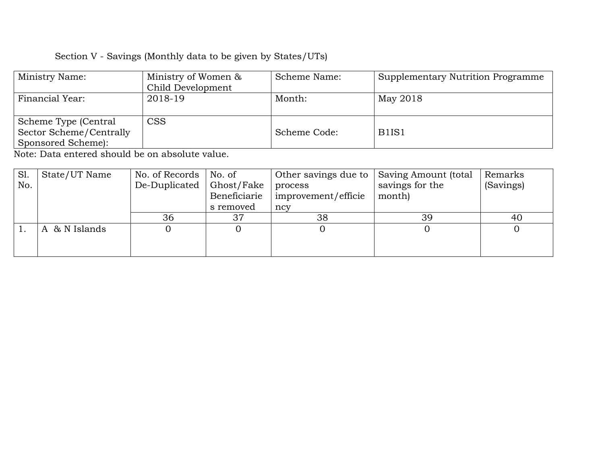| Ministry Name:          | Ministry of Women &<br>Child Development | Scheme Name: | Supplementary Nutrition Programme |
|-------------------------|------------------------------------------|--------------|-----------------------------------|
|                         |                                          |              |                                   |
| Financial Year:         | 2018-19                                  | Month:       | May 2018                          |
|                         |                                          |              |                                   |
|                         |                                          |              |                                   |
| Scheme Type (Central    | <b>CSS</b>                               |              |                                   |
| Sector Scheme/Centrally |                                          | Scheme Code: | B <sub>1</sub> IS <sub>1</sub>    |
| Sponsored Scheme):      |                                          |              |                                   |

| Sl. | State/UT Name | No. of Records | No. of       | Other savings due to $\parallel$ | Saving Amount (total | Remarks   |
|-----|---------------|----------------|--------------|----------------------------------|----------------------|-----------|
| No. |               | De-Duplicated  | Ghost/Fake   | process                          | savings for the      | (Savings) |
|     |               |                | Beneficiarie | improvement/efficie              | month)               |           |
|     |               |                | s removed    | ncy                              |                      |           |
|     |               | 36             | 37           | 38                               | 39                   | 40        |
|     | A & N Islands |                |              |                                  |                      |           |
|     |               |                |              |                                  |                      |           |
|     |               |                |              |                                  |                      |           |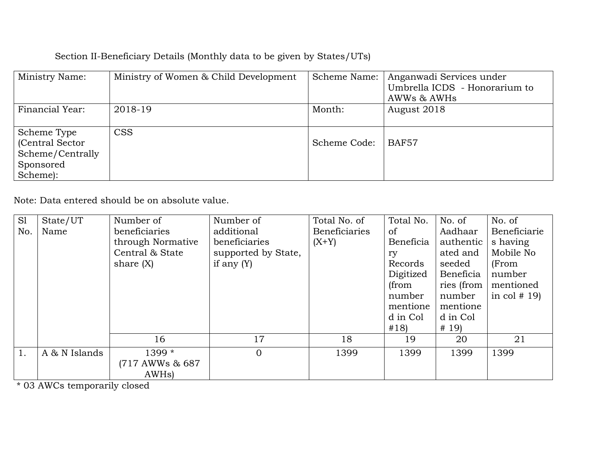## Section II-Beneficiary Details (Monthly data to be given by States/UTs)

| Ministry Name:   | Ministry of Women & Child Development |              | Scheme Name:   Anganwadi Services under |
|------------------|---------------------------------------|--------------|-----------------------------------------|
|                  |                                       |              | Umbrella ICDS - Honorarium to           |
|                  |                                       |              | AWWs & AWHs                             |
| Financial Year:  | 2018-19                               | Month:       | August 2018                             |
|                  |                                       |              |                                         |
| Scheme Type      | <b>CSS</b>                            |              |                                         |
| (Central Sector) |                                       | Scheme Code: | BAF57                                   |
| Scheme/Centrally |                                       |              |                                         |
| Sponsored        |                                       |              |                                         |
| Scheme):         |                                       |              |                                         |

Note: Data entered should be on absolute value.

| S <sub>1</sub> | State/UT      | Number of          | Number of           | Total No. of         | Total No.     | No. of     | No. of        |
|----------------|---------------|--------------------|---------------------|----------------------|---------------|------------|---------------|
| No.            | Name          | beneficiaries      | additional          | <b>Beneficiaries</b> | <sub>of</sub> | Aadhaar    | Beneficiarie  |
|                |               | through Normative  | beneficiaries       | $(X+Y)$              | Beneficia     | authentic  | s having      |
|                |               | Central & State    | supported by State, |                      | ry            | ated and   | Mobile No     |
|                |               | share $(X)$        | if any $(Y)$        |                      | Records       | seeded     | (From         |
|                |               |                    |                     |                      | Digitized     | Beneficia  | number        |
|                |               |                    |                     |                      | (from         | ries (from | mentioned     |
|                |               |                    |                     |                      | number        | number     | in col $# 19$ |
|                |               |                    |                     |                      | mentione      | mentione   |               |
|                |               |                    |                     |                      | d in Col      | d in Col   |               |
|                |               |                    |                     |                      | #18           | # 19       |               |
|                |               | 16                 | 17                  | 18                   | 19            | 20         | 21            |
| 1.             | A & N Islands | 1399 *             | $\overline{0}$      | 1399                 | 1399          | 1399       | 1399          |
|                |               | (717 AWWs & 687)   |                     |                      |               |            |               |
|                |               | AWH <sub>s</sub> ) |                     |                      |               |            |               |

\* 03 AWCs temporarily closed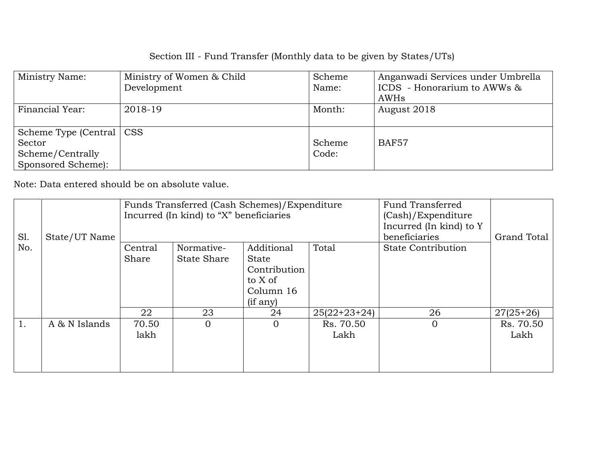| Ministry Name:             | Ministry of Women & Child | Scheme | Anganwadi Services under Umbrella |
|----------------------------|---------------------------|--------|-----------------------------------|
|                            | Development               | Name:  | ICDS - Honorarium to AWWs &       |
|                            |                           |        | AWHs                              |
| Financial Year:            | 2018-19                   | Month: | August 2018                       |
|                            |                           |        |                                   |
| Scheme Type (Central   CSS |                           |        |                                   |
| Sector                     |                           | Scheme | <b>BAF57</b>                      |
| Scheme/Centrally           |                           | Code:  |                                   |
| Sponsored Scheme):         |                           |        |                                   |

| Sl. | State/UT Name | Funds Transferred (Cash Schemes)/Expenditure<br>Incurred (In kind) to "X" beneficiaries |                           |                                                                                   | <b>Fund Transferred</b><br>(Cash)/Expenditure<br>Incurred (In kind) to Y<br>beneficiaries | <b>Grand Total</b>        |                   |
|-----|---------------|-----------------------------------------------------------------------------------------|---------------------------|-----------------------------------------------------------------------------------|-------------------------------------------------------------------------------------------|---------------------------|-------------------|
| No. |               | Central<br>Share                                                                        | Normative-<br>State Share | Additional<br><b>State</b><br>Contribution<br>to X of<br>Column 16<br>$(i$ f any) | Total                                                                                     | <b>State Contribution</b> |                   |
|     |               | 22                                                                                      | 23                        | 24                                                                                | $25(22+23+24)$                                                                            | 26                        | $27(25+26)$       |
| 1.  | A & N Islands | 70.50<br>lakh                                                                           | $\Omega$                  | $\overline{0}$                                                                    | Rs. 70.50<br>Lakh                                                                         | $\overline{0}$            | Rs. 70.50<br>Lakh |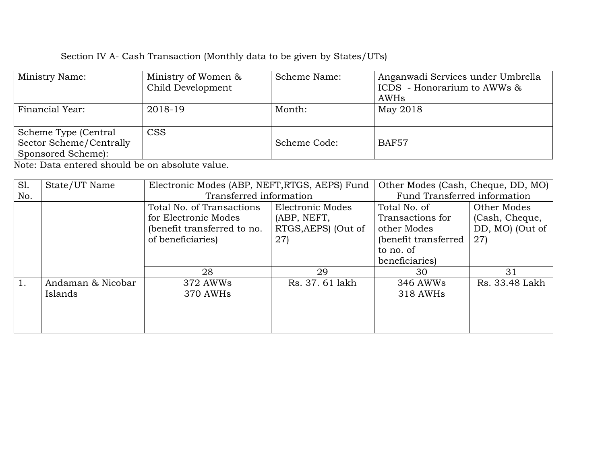| Ministry Name:                                                        | Ministry of Women &<br>Child Development | Scheme Name: | Anganwadi Services under Umbrella<br>ICDS - Honorarium to AWWs &<br>AWHs |
|-----------------------------------------------------------------------|------------------------------------------|--------------|--------------------------------------------------------------------------|
| Financial Year:                                                       | 2018-19                                  | Month:       | May 2018                                                                 |
| Scheme Type (Central<br>Sector Scheme/Centrally<br>Sponsored Scheme): | <b>CSS</b>                               | Scheme Code: | <b>BAF57</b>                                                             |

| Sl. | State/UT Name     | Electronic Modes (ABP, NEFT, RTGS, AEPS) Fund |                     | Other Modes (Cash, Cheque, DD, MO) |                 |
|-----|-------------------|-----------------------------------------------|---------------------|------------------------------------|-----------------|
| No. |                   | Transferred information                       |                     | Fund Transferred information       |                 |
|     |                   | Total No. of Transactions                     | Electronic Modes    | Total No. of                       | Other Modes     |
|     |                   | for Electronic Modes                          | (ABP, NEFT,         | Transactions for                   | (Cash, Cheque,  |
|     |                   | (benefit transferred to no.                   | RTGS, AEPS) (Out of | other Modes                        | DD, MO) (Out of |
|     |                   | of beneficiaries)                             | 27)                 | (benefit transferred               | 27)             |
|     |                   |                                               |                     | to no. of                          |                 |
|     |                   |                                               |                     | beneficiaries)                     |                 |
|     |                   | 28                                            | 29                  | 30                                 | 31              |
|     | Andaman & Nicobar | 372 AWWs                                      | Rs. 37. 61 lakh     | 346 AWWs                           | Rs. 33.48 Lakh  |
|     | Islands           | 370 AWHs                                      |                     | 318 AWHs                           |                 |
|     |                   |                                               |                     |                                    |                 |
|     |                   |                                               |                     |                                    |                 |
|     |                   |                                               |                     |                                    |                 |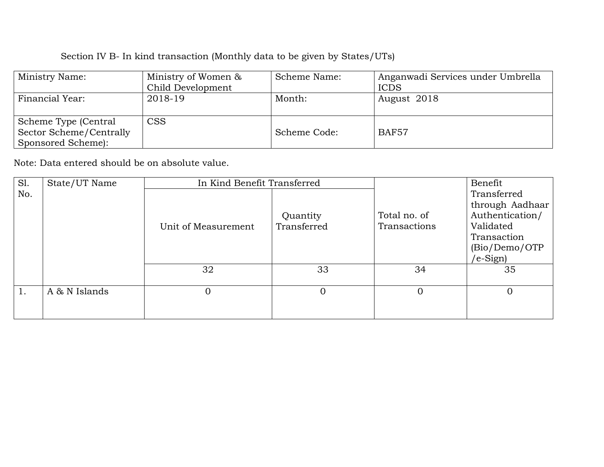| Ministry Name:          | Ministry of Women & | Scheme Name: | Anganwadi Services under Umbrella |
|-------------------------|---------------------|--------------|-----------------------------------|
|                         | Child Development   |              | <b>ICDS</b>                       |
| Financial Year:         | 2018-19             | Month:       | August 2018                       |
|                         |                     |              |                                   |
| Scheme Type (Central    | <b>CSS</b>          |              |                                   |
| Sector Scheme/Centrally |                     | Scheme Code: | <b>BAF57</b>                      |
| Sponsored Scheme):      |                     |              |                                   |

| Sl. | State/UT Name | In Kind Benefit Transferred |             |                | Benefit         |
|-----|---------------|-----------------------------|-------------|----------------|-----------------|
| No. |               |                             |             |                | Transferred     |
|     |               |                             |             |                | through Aadhaar |
|     |               |                             | Quantity    | Total no. of   | Authentication/ |
|     |               | Unit of Measurement         | Transferred | Transactions   | Validated       |
|     |               |                             |             |                | Transaction     |
|     |               |                             |             |                | (Bio/Demo/OTP   |
|     |               |                             |             |                | $(e-Sign)$      |
|     |               | 32                          | 33          | 34             | 35              |
|     |               |                             |             |                |                 |
|     | A & N Islands |                             |             | $\overline{0}$ | $\Omega$        |
|     |               |                             |             |                |                 |
|     |               |                             |             |                |                 |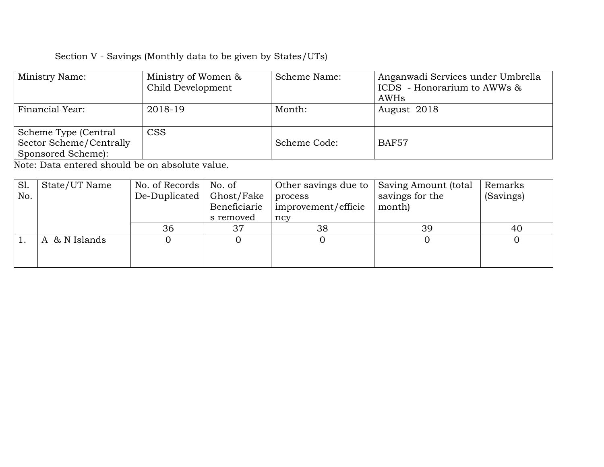| Ministry Name:                                                        | Ministry of Women &<br>Child Development | Scheme Name: | Anganwadi Services under Umbrella<br>ICDS - Honorarium to AWWs $\&$<br>AWHs |
|-----------------------------------------------------------------------|------------------------------------------|--------------|-----------------------------------------------------------------------------|
| Financial Year:                                                       | 2018-19                                  | Month:       | August 2018                                                                 |
| Scheme Type (Central<br>Sector Scheme/Centrally<br>Sponsored Scheme): | <b>CSS</b>                               | Scheme Code: | <b>BAF57</b>                                                                |

| S1  | State/UT Name               | No. of Records | No. of       | Other savings due to | Saving Amount (total | Remarks   |
|-----|-----------------------------|----------------|--------------|----------------------|----------------------|-----------|
| No. |                             | De-Duplicated  | Ghost/Fake   | process              | savings for the      | (Savings) |
|     |                             |                | Beneficiarie | improvement/efficie  | month)               |           |
|     |                             |                | s removed    | ncy                  |                      |           |
|     |                             | 36             | 37           | 38                   | 39                   | 40        |
|     | & N Islands<br>$\mathsf{A}$ |                |              |                      |                      |           |
|     |                             |                |              |                      |                      |           |
|     |                             |                |              |                      |                      |           |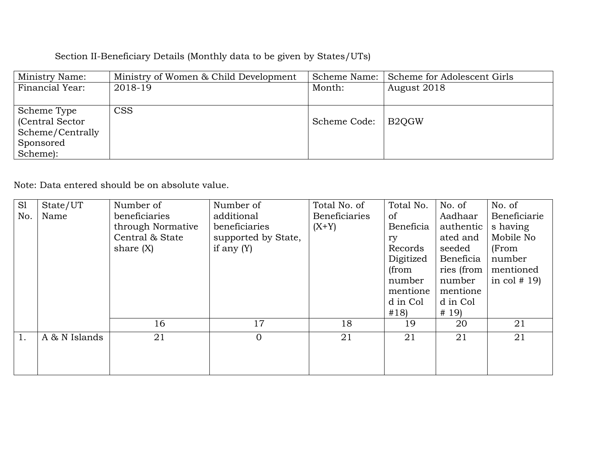## Section II-Beneficiary Details (Monthly data to be given by States/UTs)

| Ministry Name:   | Ministry of Women & Child Development | Scheme Name: | Scheme for Adolescent Girls |
|------------------|---------------------------------------|--------------|-----------------------------|
| Financial Year:  | 2018-19                               | Month:       | August 2018                 |
|                  |                                       |              |                             |
| Scheme Type      | <b>CSS</b>                            |              |                             |
| (Central Sector) |                                       | Scheme Code: | B <sub>2</sub> OGW          |
| Scheme/Centrally |                                       |              |                             |
| Sponsored        |                                       |              |                             |
| Scheme):         |                                       |              |                             |

| S1  | State/UT      | Number of         | Number of           | Total No. of         | Total No. | No. of     | No. of        |
|-----|---------------|-------------------|---------------------|----------------------|-----------|------------|---------------|
| No. | Name          | beneficiaries     | additional          | <b>Beneficiaries</b> | of        | Aadhaar    | Beneficiarie  |
|     |               | through Normative | beneficiaries       | $(X+Y)$              | Beneficia | authentic  | s having      |
|     |               | Central & State   | supported by State, |                      | ry        | ated and   | Mobile No     |
|     |               | share $(X)$       | if any $(Y)$        |                      | Records   | seeded     | (From         |
|     |               |                   |                     |                      | Digitized | Beneficia  | number        |
|     |               |                   |                     |                      | (from     | ries (from | mentioned     |
|     |               |                   |                     |                      | number    | number     | in col $# 19$ |
|     |               |                   |                     |                      | mentione  | mentione   |               |
|     |               |                   |                     |                      | d in Col  | d in Col   |               |
|     |               |                   |                     |                      | #18)      | # 19)      |               |
|     |               | 16                | 17                  | 18                   | 19        | 20         | 21            |
|     | A & N Islands | 21                | $\overline{0}$      | 21                   | 21        | 21         | 21            |
|     |               |                   |                     |                      |           |            |               |
|     |               |                   |                     |                      |           |            |               |
|     |               |                   |                     |                      |           |            |               |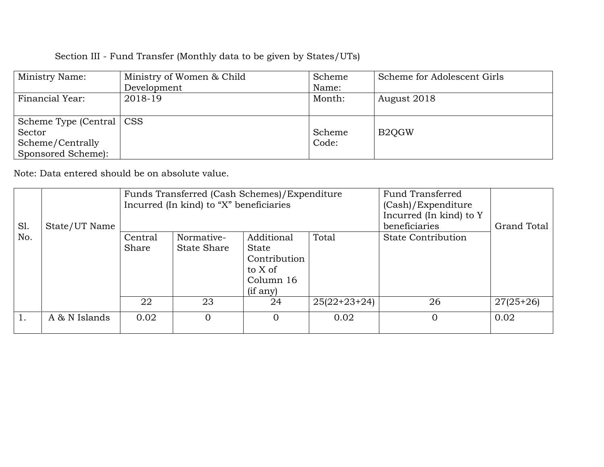| Ministry Name:             | Ministry of Women & Child | Scheme | Scheme for Adolescent Girls |
|----------------------------|---------------------------|--------|-----------------------------|
|                            | Development               | Name:  |                             |
| Financial Year:            | 2018-19                   | Month: | August 2018                 |
|                            |                           |        |                             |
| Scheme Type (Central   CSS |                           |        |                             |
| Sector                     |                           | Scheme | B <sub>2</sub> OGW          |
| Scheme/Centrally           |                           | Code:  |                             |
| Sponsored Scheme):         |                           |        |                             |

| Sl. | State/UT Name | Funds Transferred (Cash Schemes)/Expenditure<br>Incurred (In kind) to "X" beneficiaries |                                  |                                                                                  | <b>Fund Transferred</b><br>(Cash)/Expenditure<br>Incurred (In kind) to Y<br>beneficiaries | Grand Total        |             |
|-----|---------------|-----------------------------------------------------------------------------------------|----------------------------------|----------------------------------------------------------------------------------|-------------------------------------------------------------------------------------------|--------------------|-------------|
| No. |               | Central<br>Share                                                                        | Normative-<br><b>State Share</b> | Additional<br><b>State</b><br>Contribution<br>to X of<br>Column 16<br>$(i$ f any | Total                                                                                     | State Contribution |             |
|     |               | 22                                                                                      | 23                               | 24                                                                               | $25(22+23+24)$                                                                            | 26                 | $27(25+26)$ |
|     | A & N Islands | 0.02                                                                                    |                                  | $\Omega$                                                                         | 0.02                                                                                      | $\Omega$           | 0.02        |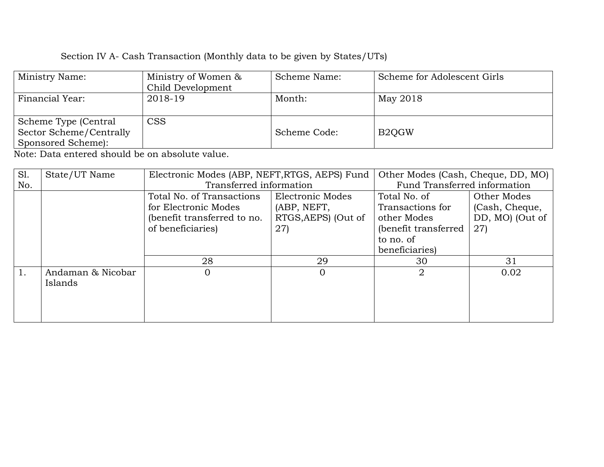| Ministry Name:          | Ministry of Women & | Scheme Name: | Scheme for Adolescent Girls     |
|-------------------------|---------------------|--------------|---------------------------------|
|                         | Child Development   |              |                                 |
| Financial Year:         | 2018-19             | Month:       | May 2018                        |
|                         |                     |              |                                 |
| Scheme Type (Central    | <b>CSS</b>          |              |                                 |
| Sector Scheme/Centrally |                     | Scheme Code: | B <sub>2</sub> O <sub>G</sub> W |
| Sponsored Scheme):      |                     |              |                                 |

| S1. | State/UT Name     | Electronic Modes (ABP, NEFT, RTGS, AEPS) Fund |                     | Other Modes (Cash, Cheque, DD, MO) |                 |
|-----|-------------------|-----------------------------------------------|---------------------|------------------------------------|-----------------|
| No. |                   | Transferred information                       |                     | Fund Transferred information       |                 |
|     |                   | Total No. of Transactions                     | Electronic Modes    | Total No. of                       | Other Modes     |
|     |                   | for Electronic Modes                          | (ABP, NEFT,         | Transactions for                   | (Cash, Cheque,  |
|     |                   | (benefit transferred to no.                   | RTGS, AEPS) (Out of | other Modes                        | DD, MO) (Out of |
|     |                   | of beneficiaries)                             | 27)                 | (benefit transferred               | 27)             |
|     |                   |                                               |                     | to no. of                          |                 |
|     |                   |                                               |                     | beneficiaries)                     |                 |
|     |                   | 28                                            | 29                  | 30                                 | 31              |
|     | Andaman & Nicobar |                                               |                     | $\overline{2}$                     | 0.02            |
|     | Islands           |                                               |                     |                                    |                 |
|     |                   |                                               |                     |                                    |                 |
|     |                   |                                               |                     |                                    |                 |
|     |                   |                                               |                     |                                    |                 |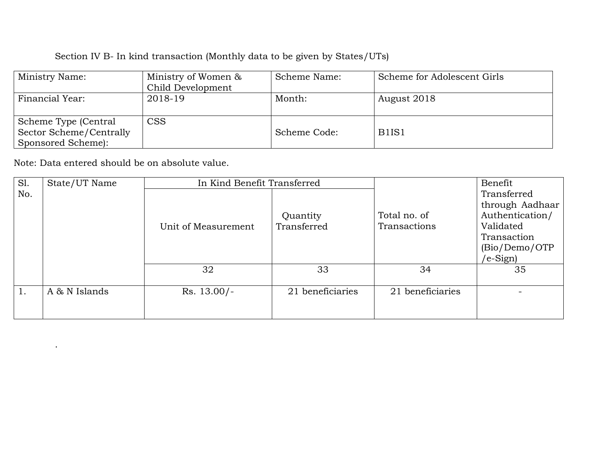| Ministry Name:          | Ministry of Women & | Scheme Name: | Scheme for Adolescent Girls    |
|-------------------------|---------------------|--------------|--------------------------------|
|                         | Child Development   |              |                                |
| Financial Year:         | 2018-19             | Month:       | August 2018                    |
|                         |                     |              |                                |
| Scheme Type (Central    | <b>CSS</b>          |              |                                |
| Sector Scheme/Centrally |                     | Scheme Code: | B <sub>1</sub> IS <sub>1</sub> |
| Sponsored Scheme):      |                     |              |                                |

Note: Data entered should be on absolute value.

.

| Sl. | State/UT Name | In Kind Benefit Transferred |                  |                  | Benefit         |
|-----|---------------|-----------------------------|------------------|------------------|-----------------|
| No. |               |                             |                  |                  | Transferred     |
|     |               |                             |                  |                  | through Aadhaar |
|     |               |                             | Quantity         | Total no. of     | Authentication/ |
|     |               | Unit of Measurement         | Transferred      | Transactions     | Validated       |
|     |               |                             |                  |                  | Transaction     |
|     |               |                             |                  |                  | (Bio/Demo/OTP   |
|     |               |                             |                  |                  | $/e-Sign$       |
|     |               | 32                          | 33               | 34               | 35              |
|     |               |                             |                  |                  |                 |
|     | A & N Islands | $Rs. 13.00/-$               | 21 beneficiaries | 21 beneficiaries |                 |
|     |               |                             |                  |                  |                 |
|     |               |                             |                  |                  |                 |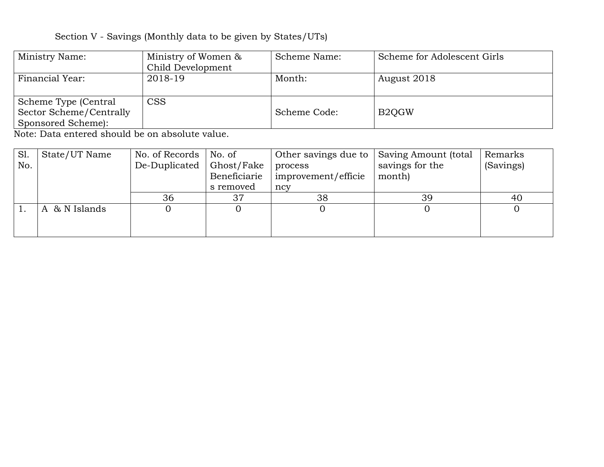| Ministry Name:          | Ministry of Women & | Scheme Name: | Scheme for Adolescent Girls     |
|-------------------------|---------------------|--------------|---------------------------------|
|                         | Child Development   |              |                                 |
| Financial Year:         | 2018-19             | Month:       | August 2018                     |
|                         |                     |              |                                 |
| Scheme Type (Central    | CSS                 |              |                                 |
| Sector Scheme/Centrally |                     | Scheme Code: | B <sub>2</sub> O <sub>G</sub> W |
| Sponsored Scheme):      |                     |              |                                 |

| SI. | State/UT Name | No. of Records | $\vert$ No. of | Other savings due to $\parallel$ | Saving Amount (total | Remarks   |
|-----|---------------|----------------|----------------|----------------------------------|----------------------|-----------|
| No. |               | De-Duplicated  | Ghost/Fake     | process                          | savings for the      | (Savings) |
|     |               |                | Beneficiarie   | improvement/efficie              | month)               |           |
|     |               |                | s removed      | ncy                              |                      |           |
|     |               | 36             | 37             | 38                               | 39                   | 40        |
|     | A & N Islands |                |                |                                  |                      |           |
|     |               |                |                |                                  |                      |           |
|     |               |                |                |                                  |                      |           |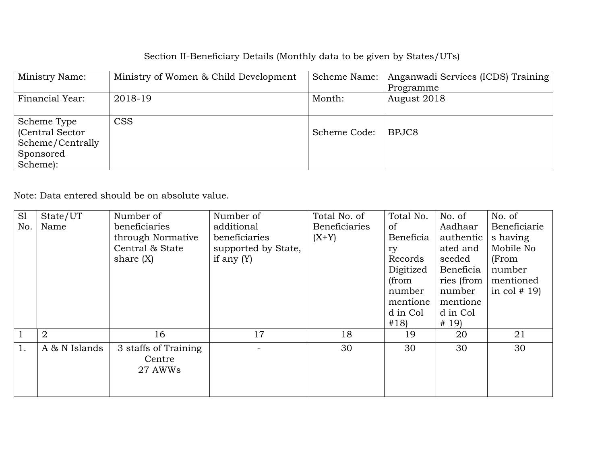# Section II-Beneficiary Details (Monthly data to be given by States/UTs)

| Ministry Name:   | Ministry of Women & Child Development | Scheme Name: | Anganwadi Services (ICDS) Training |
|------------------|---------------------------------------|--------------|------------------------------------|
|                  |                                       |              | Programme                          |
| Financial Year:  | 2018-19                               | Month:       | August 2018                        |
|                  |                                       |              |                                    |
| Scheme Type      | <b>CSS</b>                            |              |                                    |
| (Central Sector) |                                       | Scheme Code: | BPJC8                              |
| Scheme/Centrally |                                       |              |                                    |
| Sponsored        |                                       |              |                                    |
| Scheme):         |                                       |              |                                    |

| S1  | State/UT       | Number of                                 | Number of           | Total No. of         | Total No.     | No. of     | No. of        |
|-----|----------------|-------------------------------------------|---------------------|----------------------|---------------|------------|---------------|
| No. | Name           | beneficiaries                             | additional          | <b>Beneficiaries</b> | <sub>of</sub> | Aadhaar    | Beneficiarie  |
|     |                | through Normative                         | beneficiaries       | $(X+Y)$              | Beneficia     | authentic  | s having      |
|     |                | Central & State                           | supported by State, |                      | ry            | ated and   | Mobile No     |
|     |                | share $(X)$                               | if any $(Y)$        |                      | Records       | seeded     | (From         |
|     |                |                                           |                     |                      | Digitized     | Beneficia  | number        |
|     |                |                                           |                     |                      | (from         | ries (from | mentioned     |
|     |                |                                           |                     |                      | number        | number     | in col $# 19$ |
|     |                |                                           |                     |                      | mentione      | mentione   |               |
|     |                |                                           |                     |                      | d in Col      | d in Col   |               |
|     |                |                                           |                     |                      | #18)          | # 19)      |               |
|     | $\overline{2}$ | 16                                        | 17                  | 18                   | 19            | 20         | 21            |
| 1.  | A & N Islands  | 3 staffs of Training<br>Centre<br>27 AWWs |                     | 30                   | 30            | 30         | 30            |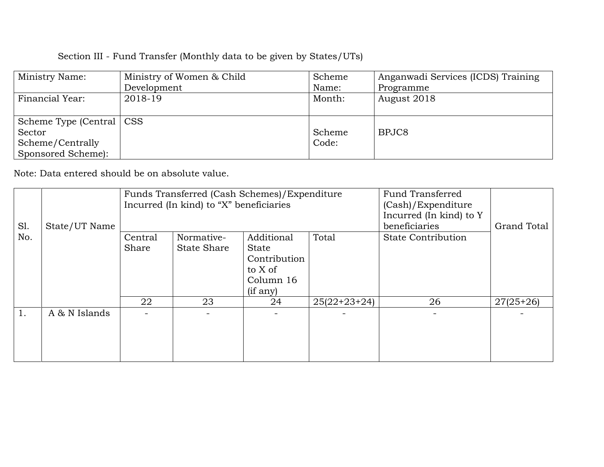| Ministry Name:             | Ministry of Women & Child | Scheme | Anganwadi Services (ICDS) Training |
|----------------------------|---------------------------|--------|------------------------------------|
|                            | Development               | Name:  | Programme                          |
| Financial Year:            | 2018-19                   | Month: | August 2018                        |
|                            |                           |        |                                    |
| Scheme Type (Central   CSS |                           |        |                                    |
| Sector                     |                           | Scheme | BPJC8                              |
| Scheme/Centrally           |                           | Code:  |                                    |
| Sponsored Scheme):         |                           |        |                                    |

|     |                                         | Funds Transferred (Cash Schemes)/Expenditure |                    |                    | <b>Fund Transferred</b> |                           |             |
|-----|-----------------------------------------|----------------------------------------------|--------------------|--------------------|-------------------------|---------------------------|-------------|
|     | Incurred (In kind) to "X" beneficiaries |                                              |                    | (Cash)/Expenditure |                         |                           |             |
|     |                                         |                                              |                    |                    |                         | Incurred (In kind) to Y   |             |
| S1. | State/UT Name                           |                                              |                    |                    |                         | beneficiaries             | Grand Total |
| No. |                                         | Central                                      | Normative-         | Additional         | Total                   | <b>State Contribution</b> |             |
|     |                                         | Share                                        | <b>State Share</b> | <b>State</b>       |                         |                           |             |
|     |                                         |                                              |                    | Contribution       |                         |                           |             |
|     |                                         |                                              |                    | to X of            |                         |                           |             |
|     |                                         |                                              |                    | Column 16          |                         |                           |             |
|     |                                         |                                              |                    | $(i$ f any $)$     |                         |                           |             |
|     |                                         | 22                                           | 23                 | 24                 | $25(22+23+24)$          | 26                        | $27(25+26)$ |
| 1.  | A & N Islands                           | $\sim$                                       |                    |                    |                         |                           |             |
|     |                                         |                                              |                    |                    |                         |                           |             |
|     |                                         |                                              |                    |                    |                         |                           |             |
|     |                                         |                                              |                    |                    |                         |                           |             |
|     |                                         |                                              |                    |                    |                         |                           |             |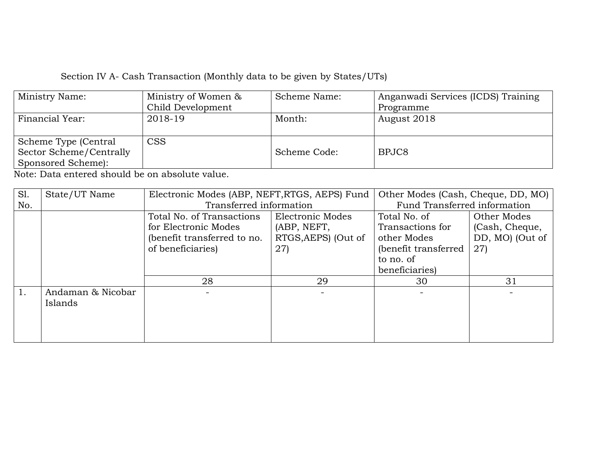| Ministry Name:                                                        | Ministry of Women &         | Scheme Name: | Anganwadi Services (ICDS) Training |
|-----------------------------------------------------------------------|-----------------------------|--------------|------------------------------------|
|                                                                       | Child Development           |              | Programme                          |
| Financial Year:                                                       | 2018-19                     | Month:       | August 2018                        |
| Scheme Type (Central<br>Sector Scheme/Centrally<br>Sponsored Scheme): | $\mathop{\rm CSS}\nolimits$ | Scheme Code: | BPJC8                              |

| S1. | State/UT Name     | Electronic Modes (ABP, NEFT, RTGS, AEPS) Fund |                     | Other Modes (Cash, Cheque, DD, MO) |                              |  |
|-----|-------------------|-----------------------------------------------|---------------------|------------------------------------|------------------------------|--|
| No. |                   | Transferred information                       |                     |                                    | Fund Transferred information |  |
|     |                   | Total No. of Transactions                     | Electronic Modes    | Total No. of                       | Other Modes                  |  |
|     |                   | for Electronic Modes                          | (ABP, NEFT,         | Transactions for                   | (Cash, Cheque,               |  |
|     |                   | (benefit transferred to no.                   | RTGS, AEPS) (Out of | other Modes                        | DD, MO) (Out of              |  |
|     |                   | of beneficiaries)                             | 27)                 | (benefit transferred               | 27)                          |  |
|     |                   |                                               |                     | to no. of                          |                              |  |
|     |                   |                                               |                     | beneficiaries)                     |                              |  |
|     |                   | 28                                            | 29                  | 30                                 | 31                           |  |
|     | Andaman & Nicobar |                                               |                     |                                    |                              |  |
|     | Islands           |                                               |                     |                                    |                              |  |
|     |                   |                                               |                     |                                    |                              |  |
|     |                   |                                               |                     |                                    |                              |  |
|     |                   |                                               |                     |                                    |                              |  |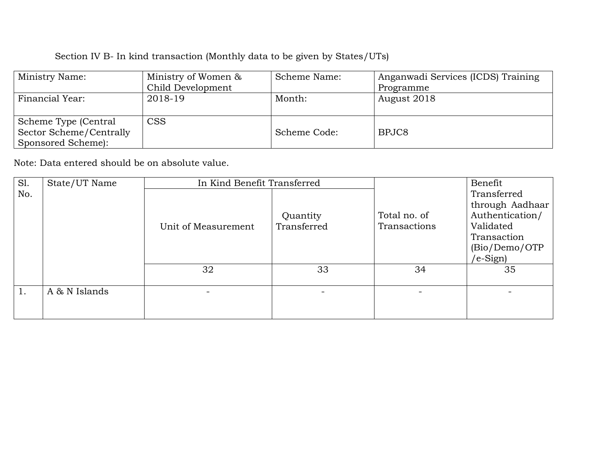| Ministry Name:          | Ministry of Women & | Scheme Name: | Anganwadi Services (ICDS) Training |  |
|-------------------------|---------------------|--------------|------------------------------------|--|
|                         | Child Development   |              | Programme                          |  |
| Financial Year:         | 2018-19             | Month:       | August 2018                        |  |
|                         |                     |              |                                    |  |
| Scheme Type (Central    | <b>CSS</b>          |              |                                    |  |
| Sector Scheme/Centrally |                     | Scheme Code: | BPJC8                              |  |
| Sponsored Scheme):      |                     |              |                                    |  |

| Sl. | State/UT Name | In Kind Benefit Transferred |             |                          | Benefit         |
|-----|---------------|-----------------------------|-------------|--------------------------|-----------------|
| No. |               |                             |             |                          | Transferred     |
|     |               |                             |             |                          | through Aadhaar |
|     |               |                             | Quantity    | Total no. of             | Authentication/ |
|     |               | Unit of Measurement         | Transferred | Transactions             | Validated       |
|     |               |                             |             |                          | Transaction     |
|     |               |                             |             |                          | (Bio/Demo/OTP   |
|     |               |                             |             |                          | /e-Sign)        |
|     |               | 32                          | 33          | 34                       | 35              |
|     |               |                             |             |                          |                 |
|     | A & N Islands |                             |             | $\overline{\phantom{0}}$ |                 |
|     |               |                             |             |                          |                 |
|     |               |                             |             |                          |                 |